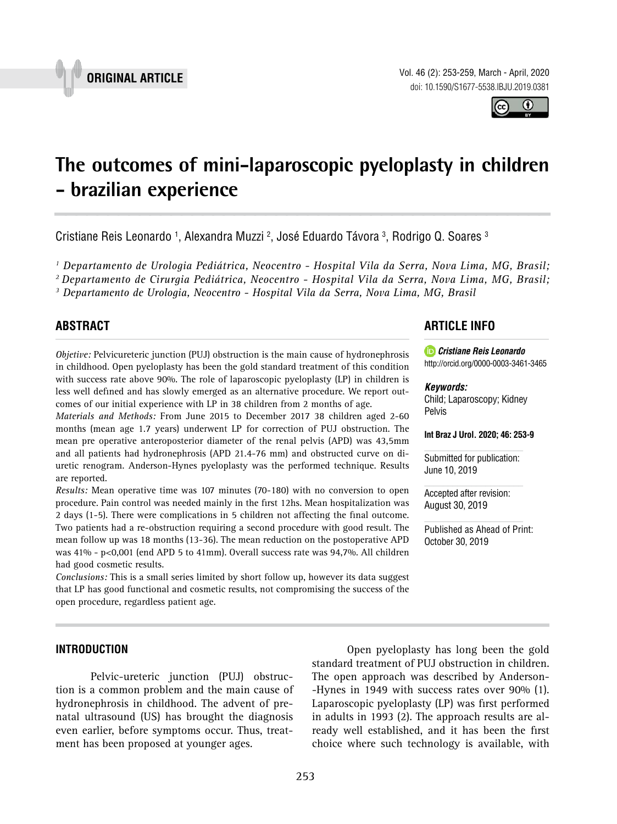

Vol. 46 (2): 253-259, March - April, 2020 doi: 10.1590/S1677-5538.IBJU.2019.0381

# **The outcomes of mini-laparoscopic pyeloplasty in children - brazilian experience \_\_\_\_\_\_\_\_\_\_\_\_\_\_\_\_\_\_\_\_\_\_\_\_\_\_\_\_\_\_\_\_\_\_\_\_\_\_\_\_\_\_\_\_\_\_\_**

Cristiane Reis Leonardo <sup>1</sup>, Alexandra Muzzi <sup>2</sup>, José Eduardo Távora <sup>3</sup>, Rodrigo Q. Soares <sup>3</sup>

*1 Departamento de Urologia Pediátrica, Neocentro - Hospital Vila da Serra, Nova Lima, MG, Brasil;* 

*2 Departamento de Cirurgia Pediátrica, Neocentro - Hospital Vila da Serra, Nova Lima, MG, Brasil;* 

*3 Departamento de Urologia, Neocentro - Hospital Vila da Serra, Nova Lima, MG, Brasil*

# **ABSTRACT**

*Objetive:* Pelvicureteric junction (PUJ) obstruction is the main cause of hydronephrosis in childhood. Open pyeloplasty has been the gold standard treatment of this condition with success rate above 90%. The role of laparoscopic pyeloplasty (LP) in children is less well defined and has slowly emerged as an alternative procedure. We report outcomes of our initial experience with LP in 38 children from 2 months of age.

*Materials and Methods:* From June 2015 to December 2017 38 children aged 2-60 months (mean age 1.7 years) underwent LP for correction of PUJ obstruction. The mean pre operative anteroposterior diameter of the renal pelvis (APD) was 43,5mm and all patients had hydronephrosis (APD 21.4-76 mm) and obstructed curve on diuretic renogram. Anderson-Hynes pyeloplasty was the performed technique. Results are reported.

*Results:* Mean operative time was 107 minutes (70-180) with no conversion to open procedure. Pain control was needed mainly in the first 12hs. Mean hospitalization was 2 days (1-5). There were complications in 5 children not affecting the final outcome. Two patients had a re-obstruction requiring a second procedure with good result. The mean follow up was 18 months (13-36). The mean reduction on the postoperative APD was 41% - p<0,001 (end APD 5 to 41mm). Overall success rate was 94,7%. All children had good cosmetic results.

*Conclusions:* This is a small series limited by short follow up, however its data suggest that LP has good functional and cosmetic results, not compromising the success of the open procedure, regardless patient age.

## **ARTICLE INFO**

*Cristiane Reis Leonardo* http://orcid.org/0000-0003-3461-3465

#### *Keywords:*

Child; Laparoscopy; Kidney Pelvis

**Int Braz J Urol. 2020; 46: 253-9**

Submitted for publication: June 10, 2019

Accepted after revision: August 30, 2019

Published as Ahead of Print: October 30, 2019

#### **INTRODUCTION**

Pelvic-ureteric junction (PUJ) obstruction is a common problem and the main cause of hydronephrosis in childhood. The advent of prenatal ultrasound (US) has brought the diagnosis even earlier, before symptoms occur. Thus, treatment has been proposed at younger ages.

Open pyeloplasty has long been the gold standard treatment of PUJ obstruction in children. The open approach was described by Anderson- -Hynes in 1949 with success rates over 90% (1). Laparoscopic pyeloplasty (LP) was first performed in adults in 1993 (2). The approach results are already well established, and it has been the first choice where such technology is available, with



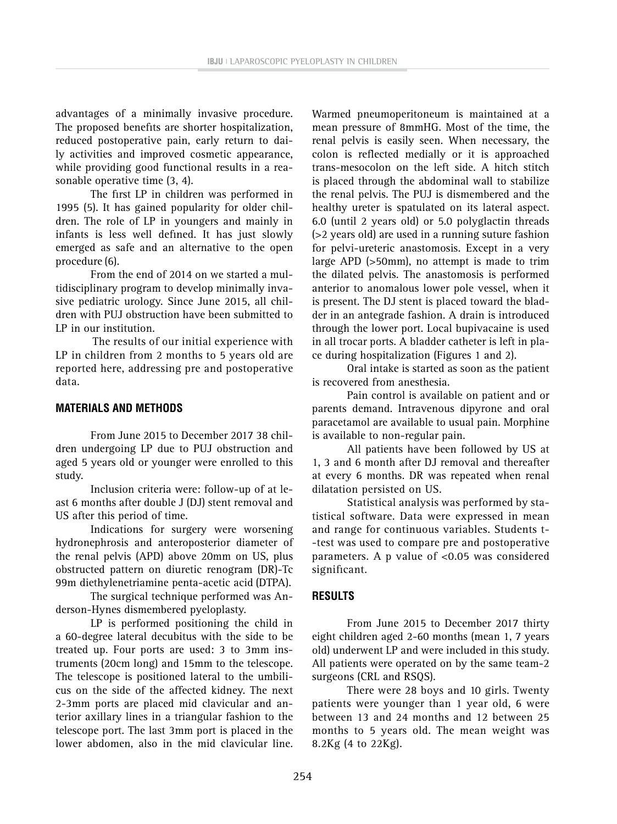advantages of a minimally invasive procedure. The proposed benefits are shorter hospitalization, reduced postoperative pain, early return to daily activities and improved cosmetic appearance, while providing good functional results in a reasonable operative time (3, 4).

The first LP in children was performed in 1995 (5). It has gained popularity for older children. The role of LP in youngers and mainly in infants is less well defined. It has just slowly emerged as safe and an alternative to the open procedure (6).

From the end of 2014 on we started a multidisciplinary program to develop minimally invasive pediatric urology. Since June 2015, all children with PUJ obstruction have been submitted to LP in our institution.

The results of our initial experience with LP in children from 2 months to 5 years old are reported here, addressing pre and postoperative data.

## **MATERIALS AND METHODS**

From June 2015 to December 2017 38 children undergoing LP due to PUJ obstruction and aged 5 years old or younger were enrolled to this study.

Inclusion criteria were: follow-up of at least 6 months after double J (DJ) stent removal and US after this period of time.

Indications for surgery were worsening hydronephrosis and anteroposterior diameter of the renal pelvis (APD) above 20mm on US, plus obstructed pattern on diuretic renogram (DR)-Tc 99m diethylenetriamine penta-acetic acid (DTPA).

The surgical technique performed was Anderson-Hynes dismembered pyeloplasty.

LP is performed positioning the child in a 60-degree lateral decubitus with the side to be treated up. Four ports are used: 3 to 3mm instruments (20cm long) and 15mm to the telescope. The telescope is positioned lateral to the umbilicus on the side of the affected kidney. The next 2-3mm ports are placed mid clavicular and anterior axillary lines in a triangular fashion to the telescope port. The last 3mm port is placed in the lower abdomen, also in the mid clavicular line.

Warmed pneumoperitoneum is maintained at a mean pressure of 8mmHG. Most of the time, the renal pelvis is easily seen. When necessary, the colon is reflected medially or it is approached trans-mesocolon on the left side. A hitch stitch is placed through the abdominal wall to stabilize the renal pelvis. The PUJ is dismembered and the healthy ureter is spatulated on its lateral aspect. 6.0 (until 2 years old) or 5.0 polyglactin threads (>2 years old) are used in a running suture fashion for pelvi-ureteric anastomosis. Except in a very large APD (>50mm), no attempt is made to trim the dilated pelvis. The anastomosis is performed anterior to anomalous lower pole vessel, when it is present. The DJ stent is placed toward the bladder in an antegrade fashion. A drain is introduced through the lower port. Local bupivacaine is used in all trocar ports. A bladder catheter is left in place during hospitalization (Figures 1 and 2).

Oral intake is started as soon as the patient is recovered from anesthesia.

Pain control is available on patient and or parents demand. Intravenous dipyrone and oral paracetamol are available to usual pain. Morphine is available to non-regular pain.

All patients have been followed by US at 1, 3 and 6 month after DJ removal and thereafter at every 6 months. DR was repeated when renal dilatation persisted on US.

Statistical analysis was performed by statistical software. Data were expressed in mean and range for continuous variables. Students t- -test was used to compare pre and postoperative parameters. A p value of <0.05 was considered significant.

## **RESULTS**

From June 2015 to December 2017 thirty eight children aged 2-60 months (mean 1, 7 years old) underwent LP and were included in this study. All patients were operated on by the same team-2 surgeons (CRL and RSQS).

There were 28 boys and 10 girls. Twenty patients were younger than 1 year old, 6 were between 13 and 24 months and 12 between 25 months to 5 years old. The mean weight was 8.2Kg (4 to 22Kg).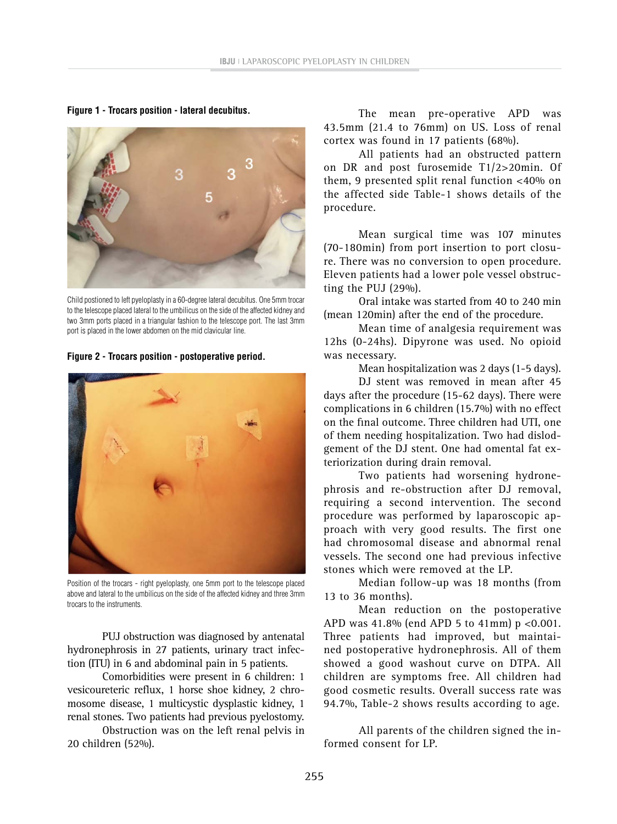**Figure 1 - Trocars position - lateral decubitus.**



Child postioned to left pyeloplasty in a 60-degree lateral decubitus. One 5mm trocar to the telescope placed lateral to the umbilicus on the side of the affected kidney and two 3mm ports placed in a triangular fashion to the telescope port. The last 3mm port is placed in the lower abdomen on the mid clavicular line.

#### **Figure 2 - Trocars position - postoperative period.**



Position of the trocars - right pyeloplasty, one 5mm port to the telescope placed above and lateral to the umbilicus on the side of the affected kidney and three 3mm trocars to the instruments.

PUJ obstruction was diagnosed by antenatal hydronephrosis in 27 patients, urinary tract infection (ITU) in 6 and abdominal pain in 5 patients.

Comorbidities were present in 6 children: 1 vesicoureteric reflux, 1 horse shoe kidney, 2 chromosome disease, 1 multicystic dysplastic kidney, 1 renal stones. Two patients had previous pyelostomy.

Obstruction was on the left renal pelvis in 20 children (52%).

The mean pre-operative APD was 43.5mm (21.4 to 76mm) on US. Loss of renal cortex was found in 17 patients (68%).

All patients had an obstructed pattern on DR and post furosemide T1/2>20min. Of them, 9 presented split renal function <40% on the affected side Table-1 shows details of the procedure.

Mean surgical time was 107 minutes (70-180min) from port insertion to port closure. There was no conversion to open procedure. Eleven patients had a lower pole vessel obstructing the PUJ (29%).

Oral intake was started from 40 to 240 min (mean 120min) after the end of the procedure.

Mean time of analgesia requirement was 12hs (0-24hs). Dipyrone was used. No opioid was necessary.

Mean hospitalization was 2 days (1-5 days).

DJ stent was removed in mean after 45 days after the procedure (15-62 days). There were complications in 6 children (15.7%) with no effect on the final outcome. Three children had UTI, one of them needing hospitalization. Two had dislodgement of the DJ stent. One had omental fat exteriorization during drain removal.

Two patients had worsening hydronephrosis and re-obstruction after DJ removal, requiring a second intervention. The second procedure was performed by laparoscopic approach with very good results. The first one had chromosomal disease and abnormal renal vessels. The second one had previous infective stones which were removed at the LP.

Median follow-up was 18 months (from 13 to 36 months).

Mean reduction on the postoperative APD was  $41.8\%$  (end APD 5 to  $41mm$ ) p <0.001. Three patients had improved, but maintained postoperative hydronephrosis. All of them showed a good washout curve on DTPA. All children are symptoms free. All children had good cosmetic results. Overall success rate was 94.7%, Table-2 shows results according to age.

All parents of the children signed the informed consent for LP.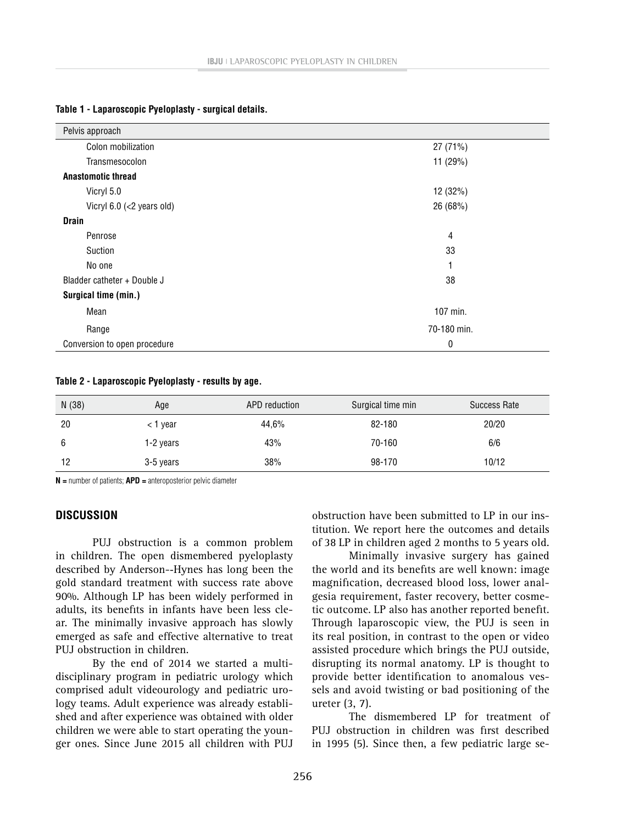| Pelvis approach                   |             |  |  |  |  |
|-----------------------------------|-------------|--|--|--|--|
| Colon mobilization                | 27(71%)     |  |  |  |  |
| Transmesocolon                    | 11 (29%)    |  |  |  |  |
| <b>Anastomotic thread</b>         |             |  |  |  |  |
| Vicryl 5.0                        | 12 (32%)    |  |  |  |  |
| Vicryl 6.0 (<2 years old)         | 26 (68%)    |  |  |  |  |
| <b>Drain</b>                      |             |  |  |  |  |
| Penrose                           | 4           |  |  |  |  |
| Suction                           | 33          |  |  |  |  |
| No one                            | 1           |  |  |  |  |
| 38<br>Bladder catheter + Double J |             |  |  |  |  |
| Surgical time (min.)              |             |  |  |  |  |
| Mean                              | 107 min.    |  |  |  |  |
| Range                             | 70-180 min. |  |  |  |  |
| Conversion to open procedure      | 0           |  |  |  |  |

#### **Table 1 - Laparoscopic Pyeloplasty - surgical details.**

## **Table 2 - Laparoscopic Pyeloplasty - results by age.**

| N(38) | Age       | APD reduction | Surgical time min | Success Rate |
|-------|-----------|---------------|-------------------|--------------|
| 20    | < 1 year  | 44,6%         | 82-180            | 20/20        |
| 6     | 1-2 years | 43%           | 70-160            | 6/6          |
| 12    | 3-5 years | 38%           | 98-170            | 10/12        |

**N =** number of patients; **APD =** anteroposterior pelvic diameter

#### **DISCUSSION**

PUJ obstruction is a common problem in children. The open dismembered pyeloplasty described by Anderson-‐Hynes has long been the gold standard treatment with success rate above 90%. Although LP has been widely performed in adults, its benefits in infants have been less clear. The minimally invasive approach has slowly emerged as safe and effective alternative to treat PUJ obstruction in children.

By the end of 2014 we started a multidisciplinary program in pediatric urology which comprised adult videourology and pediatric urology teams. Adult experience was already established and after experience was obtained with older children we were able to start operating the younger ones. Since June 2015 all children with PUJ obstruction have been submitted to LP in our institution. We report here the outcomes and details of 38 LP in children aged 2 months to 5 years old.

Minimally invasive surgery has gained the world and its benefits are well known: image magnification, decreased blood loss, lower analgesia requirement, faster recovery, better cosmetic outcome. LP also has another reported benefit. Through laparoscopic view, the PUJ is seen in its real position, in contrast to the open or video assisted procedure which brings the PUJ outside, disrupting its normal anatomy. LP is thought to provide better identification to anomalous vessels and avoid twisting or bad positioning of the ureter (3, 7).

The dismembered LP for treatment of PUJ obstruction in children was first described in 1995 (5). Since then, a few pediatric large se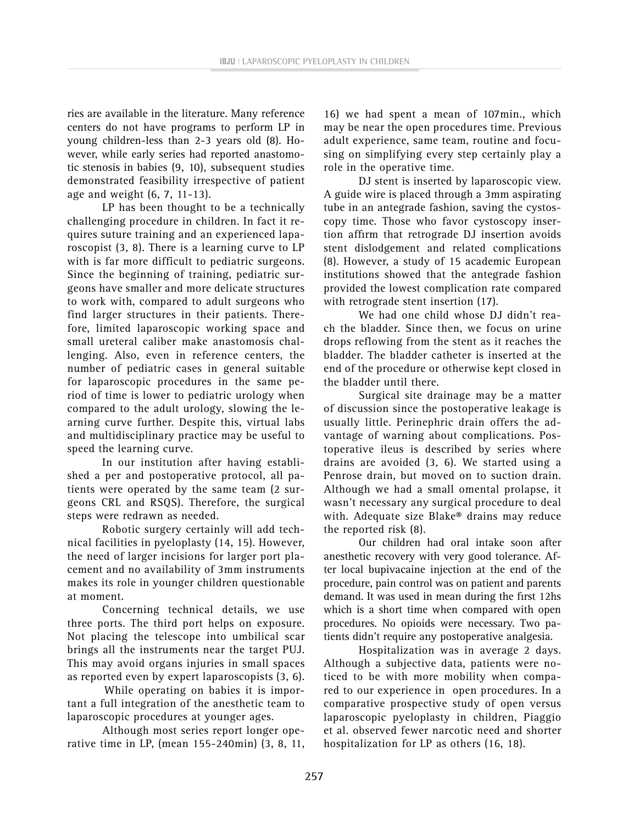ries are available in the literature. Many reference centers do not have programs to perform LP in young children-less than 2-3 years old (8). However, while early series had reported anastomotic stenosis in babies (9, 10), subsequent studies demonstrated feasibility irrespective of patient age and weight (6, 7, 11-13).

LP has been thought to be a technically challenging procedure in children. In fact it requires suture training and an experienced laparoscopist (3, 8). There is a learning curve to LP with is far more difficult to pediatric surgeons. Since the beginning of training, pediatric surgeons have smaller and more delicate structures to work with, compared to adult surgeons who find larger structures in their patients. Therefore, limited laparoscopic working space and small ureteral caliber make anastomosis challenging. Also, even in reference centers, the number of pediatric cases in general suitable for laparoscopic procedures in the same period of time is lower to pediatric urology when compared to the adult urology, slowing the learning curve further. Despite this, virtual labs and multidisciplinary practice may be useful to speed the learning curve.

In our institution after having established a per and postoperative protocol, all patients were operated by the same team (2 surgeons CRL and RSQS). Therefore, the surgical steps were redrawn as needed.

Robotic surgery certainly will add technical facilities in pyeloplasty (14, 15). However, the need of larger incisions for larger port placement and no availability of 3mm instruments makes its role in younger children questionable at moment.

Concerning technical details, we use three ports. The third port helps on exposure. Not placing the telescope into umbilical scar brings all the instruments near the target PUJ. This may avoid organs injuries in small spaces as reported even by expert laparoscopists (3, 6).

While operating on babies it is important a full integration of the anesthetic team to laparoscopic procedures at younger ages.

Although most series report longer operative time in LP, (mean 155-240min) (3, 8, 11,

16) we had spent a mean of 107min., which may be near the open procedures time. Previous adult experience, same team, routine and focusing on simplifying every step certainly play a role in the operative time.

DJ stent is inserted by laparoscopic view. A guide wire is placed through a 3mm aspirating tube in an antegrade fashion, saving the cystoscopy time. Those who favor cystoscopy insertion affirm that retrograde DJ insertion avoids stent dislodgement and related complications (8). However, a study of 15 academic European institutions showed that the antegrade fashion provided the lowest complication rate compared with retrograde stent insertion (17).

We had one child whose DJ didn't reach the bladder. Since then, we focus on urine drops reflowing from the stent as it reaches the bladder. The bladder catheter is inserted at the end of the procedure or otherwise kept closed in the bladder until there.

Surgical site drainage may be a matter of discussion since the postoperative leakage is usually little. Perinephric drain offers the advantage of warning about complications. Postoperative ileus is described by series where drains are avoided (3, 6). We started using a Penrose drain, but moved on to suction drain. Although we had a small omental prolapse, it wasn't necessary any surgical procedure to deal with. Adequate size Blake® drains may reduce the reported risk (8).

Our children had oral intake soon after anesthetic recovery with very good tolerance. After local bupivacaine injection at the end of the procedure, pain control was on patient and parents demand. It was used in mean during the first 12hs which is a short time when compared with open procedures. No opioids were necessary. Two patients didn't require any postoperative analgesia.

Hospitalization was in average 2 days. Although a subjective data, patients were noticed to be with more mobility when compared to our experience in open procedures. In a comparative prospective study of open versus laparoscopic pyeloplasty in children, Piaggio et al. observed fewer narcotic need and shorter hospitalization for LP as others (16, 18).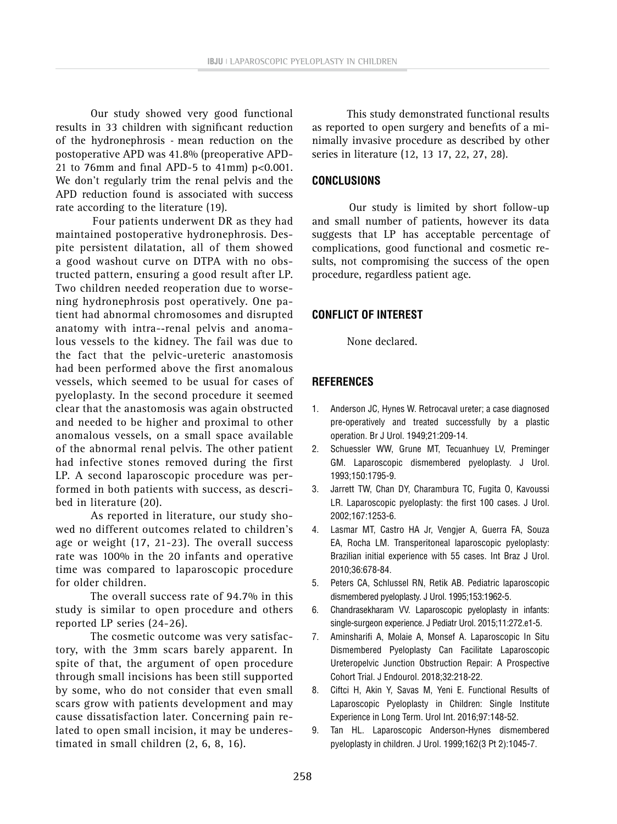Our study showed very good functional results in 33 children with significant reduction of the hydronephrosis - mean reduction on the postoperative APD was 41.8% (preoperative APD-21 to 76mm and final APD-5 to 41mm)  $p<0.001$ . We don't regularly trim the renal pelvis and the APD reduction found is associated with success rate according to the literature (19).

Four patients underwent DR as they had maintained postoperative hydronephrosis. Despite persistent dilatation, all of them showed a good washout curve on DTPA with no obstructed pattern, ensuring a good result after LP. Two children needed reoperation due to worsening hydronephrosis post operatively. One patient had abnormal chromosomes and disrupted anatomy with intra-‐renal pelvis and anomalous vessels to the kidney. The fail was due to the fact that the pelvic-ureteric anastomosis had been performed above the first anomalous vessels, which seemed to be usual for cases of pyeloplasty. In the second procedure it seemed clear that the anastomosis was again obstructed and needed to be higher and proximal to other anomalous vessels, on a small space available of the abnormal renal pelvis. The other patient had infective stones removed during the first LP. A second laparoscopic procedure was performed in both patients with success, as described in literature (20).

As reported in literature, our study showed no different outcomes related to children's age or weight (17, 21-23). The overall success rate was 100% in the 20 infants and operative time was compared to laparoscopic procedure for older children.

The overall success rate of 94.7% in this study is similar to open procedure and others reported LP series (24-26).

The cosmetic outcome was very satisfactory, with the 3mm scars barely apparent. In spite of that, the argument of open procedure through small incisions has been still supported by some, who do not consider that even small scars grow with patients development and may cause dissatisfaction later. Concerning pain related to open small incision, it may be underestimated in small children (2, 6, 8, 16).

This study demonstrated functional results as reported to open surgery and benefits of a minimally invasive procedure as described by other series in literature (12, 13 17, 22, 27, 28).

## **CONCLUSIONS**

Our study is limited by short follow-up and small number of patients, however its data suggests that LP has acceptable percentage of complications, good functional and cosmetic results, not compromising the success of the open procedure, regardless patient age.

## **CONFLICT OF INTEREST**

None declared.

## **REFERENCES**

- 1. Anderson JC, Hynes W. Retrocaval ureter; a case diagnosed pre-operatively and treated successfully by a plastic operation. Br J Urol. 1949;21:209-14.
- 2. Schuessler WW, Grune MT, Tecuanhuey LV, Preminger GM. Laparoscopic dismembered pyeloplasty. J Urol. 1993;150:1795-9.
- 3. Jarrett TW, Chan DY, Charambura TC, Fugita O, Kavoussi LR. Laparoscopic pyeloplasty: the first 100 cases. J Urol. 2002;167:1253-6.
- 4. Lasmar MT, Castro HA Jr, Vengjer A, Guerra FA, Souza EA, Rocha LM. Transperitoneal laparoscopic pyeloplasty: Brazilian initial experience with 55 cases. Int Braz J Urol. 2010;36:678-84.
- 5. Peters CA, Schlussel RN, Retik AB. Pediatric laparoscopic dismembered pyeloplasty. J Urol. 1995;153:1962-5.
- 6. Chandrasekharam VV. Laparoscopic pyeloplasty in infants: single-surgeon experience. J Pediatr Urol. 2015;11:272.e1-5.
- 7. Aminsharifi A, Molaie A, Monsef A. Laparoscopic In Situ Dismembered Pyeloplasty Can Facilitate Laparoscopic Ureteropelvic Junction Obstruction Repair: A Prospective Cohort Trial. J Endourol. 2018;32:218-22.
- 8. Ciftci H, Akin Y, Savas M, Yeni E. Functional Results of Laparoscopic Pyeloplasty in Children: Single Institute Experience in Long Term. Urol Int. 2016;97:148-52.
- 9. Tan HL. Laparoscopic Anderson-Hynes dismembered pyeloplasty in children. J Urol. 1999;162(3 Pt 2):1045-7.